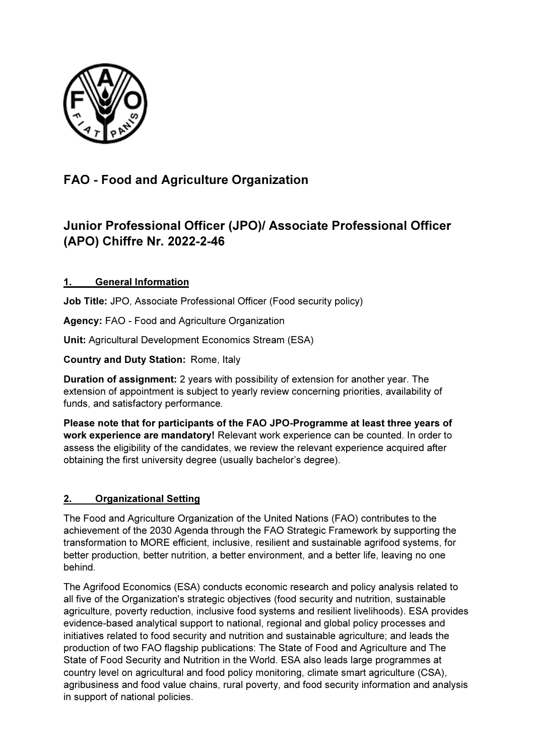

# FAO - Food and Agriculture Organization

## Junior Professional Officer (JPO)/ Associate Professional Officer (APO) Chiffre Nr. 2022-2-46

## 1. General Information

Job Title: JPO, Associate Professional Officer (Food security policy)

Agency: FAO - Food and Agriculture Organization

Unit: Agricultural Development Economics Stream (ESA)

Country and Duty Station: Rome, Italy

Duration of assignment: 2 years with possibility of extension for another year. The extension of appointment is subject to yearly review concerning priorities, availability of funds, and satisfactory performance.

Please note that for participants of the FAO JPO-Programme at least three years of work experience are mandatory! Relevant work experience can be counted. In order to assess the eligibility of the candidates, we review the relevant experience acquired after obtaining the first university degree (usually bachelor's degree).

### 2. Organizational Setting

The Food and Agriculture Organization of the United Nations (FAO) contributes to the achievement of the 2030 Agenda through the FAO Strategic Framework by supporting the transformation to MORE efficient, inclusive, resilient and sustainable agrifood systems, for better production, better nutrition, a better environment, and a better life, leaving no one behind.

The Agrifood Economics (ESA) conducts economic research and policy analysis related to all five of the Organization's strategic objectives (food security and nutrition, sustainable agriculture, poverty reduction, inclusive food systems and resilient livelihoods). ESA provides evidence-based analytical support to national, regional and global policy processes and initiatives related to food security and nutrition and sustainable agriculture; and leads the production of two FAO flagship publications: The State of Food and Agriculture and The State of Food Security and Nutrition in the World. ESA also leads large programmes at country level on agricultural and food policy monitoring, climate smart agriculture (CSA), agribusiness and food value chains, rural poverty, and food security information and analysis in support of national policies.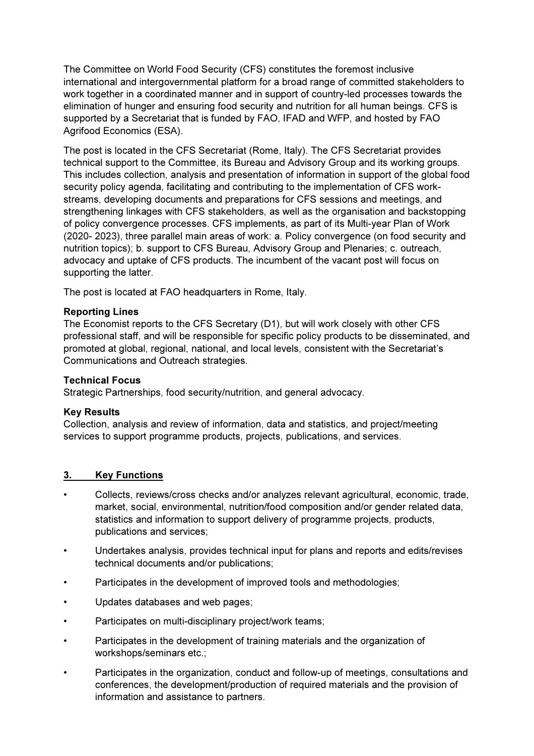The Committee on World Food Security (CFS) constitutes the foremost inclusive international and intergovernmental platform for a broad range of committed stakeholders to work together in a coordinated manner and in support of country-led processes towards the elimination of hunger and ensuring food security and nutrition for all human beings. CFS is supported by a Secretariat that is funded by FAO, IFAD and WFP, and hosted by FAO Agrifood Economics (ESA).

The post is located in the CFS Secretariat (Rome, Italy). The CFS Secretariat provides technical support to the Committee, its Bureau and Advisory Group and its working groups. This includes collection, analysis and presentation of information in support of the global food security policy agenda, facilitating and contributing to the implementation of CFS workstreams, developing documents and preparations for CFS sessions and meetings, and strengthening linkages with CFS stakeholders, as well as the organisation and backstopping of policy convergence processes. CFS implements, as part of its Multi-year Plan of Work (2020- 2023), three parallel main areas of work: a. Policy convergence (on food security and nutrition topics); b. support to CFS Bureau, Advisory Group and Plenaries; c. outreach, advocacy and uptake of CFS products. The incumbent of the vacant post will focus on supporting the latter.

The post is located at FAO headquarters in Rome, Italy.

#### Reporting Lines

The Economist reports to the CFS Secretary (D1), but will work closely with other CFS professional staff, and will be responsible for specific policy products to be disseminated, and promoted at global, regional, national, and local levels, consistent with the Secretariat's Communications and Outreach strategies.

#### Technical Focus

Strategic Partnerships, food security/nutrition, and general advocacy.

#### Key Results

Collection, analysis and review of information, data and statistics, and project/meeting services to support programme products, projects, publications, and services.

#### 3. Key Functions

- Collects, reviews/cross checks and/or analyzes relevant agricultural, economic, trade, market, social, environmental, nutrition/food composition and/or gender related data, statistics and information to support delivery of programme projects, products, publications and services;
- Undertakes analysis, provides technical input for plans and reports and edits/revises technical documents and/or publications;
- Participates in the development of improved tools and methodologies;
- Updates databases and web pages;
- Participates on multi-disciplinary project/work teams;
- Participates in the development of training materials and the organization of workshops/seminars etc.;
- Participates in the organization, conduct and follow-up of meetings, consultations and conferences, the development/production of required materials and the provision of information and assistance to partners.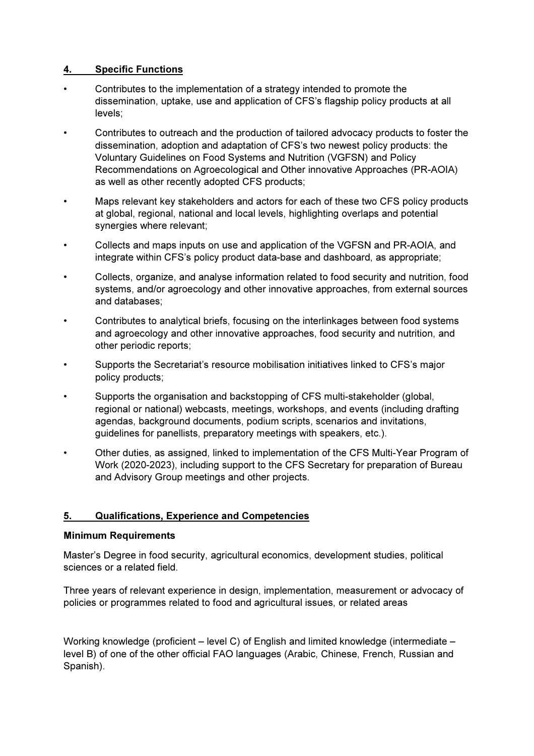### 4. Specific Functions

- Contributes to the implementation of a strategy intended to promote the dissemination, uptake, use and application of CFS's flagship policy products at all levels;
- Contributes to outreach and the production of tailored advocacy products to foster the dissemination, adoption and adaptation of CFS's two newest policy products: the Voluntary Guidelines on Food Systems and Nutrition (VGFSN) and Policy Recommendations on Agroecological and Other innovative Approaches (PR-AOIA) as well as other recently adopted CFS products;
- Maps relevant key stakeholders and actors for each of these two CFS policy products at global, regional, national and local levels, highlighting overlaps and potential synergies where relevant;
- Collects and maps inputs on use and application of the VGFSN and PR-AOIA, and integrate within CFS's policy product data-base and dashboard, as appropriate;
- Collects, organize, and analyse information related to food security and nutrition, food systems, and/or agroecology and other innovative approaches, from external sources and databases;
- Contributes to analytical briefs, focusing on the interlinkages between food systems and agroecology and other innovative approaches, food security and nutrition, and other periodic reports;
- Supports the Secretariat's resource mobilisation initiatives linked to CFS's major policy products;
- Supports the organisation and backstopping of CFS multi-stakeholder (global, regional or national) webcasts, meetings, workshops, and events (including drafting agendas, background documents, podium scripts, scenarios and invitations, guidelines for panellists, preparatory meetings with speakers, etc.).
- Other duties, as assigned, linked to implementation of the CFS Multi-Year Program of Work (2020-2023), including support to the CFS Secretary for preparation of Bureau and Advisory Group meetings and other projects.

#### 5. Qualifications, Experience and Competencies

#### Minimum Requirements

Master's Degree in food security, agricultural economics, development studies, political sciences or a related field.

Three years of relevant experience in design, implementation, measurement or advocacy of policies or programmes related to food and agricultural issues, or related areas

Working knowledge (proficient – level C) of English and limited knowledge (intermediate – level B) of one of the other official FAO languages (Arabic, Chinese, French, Russian and Spanish).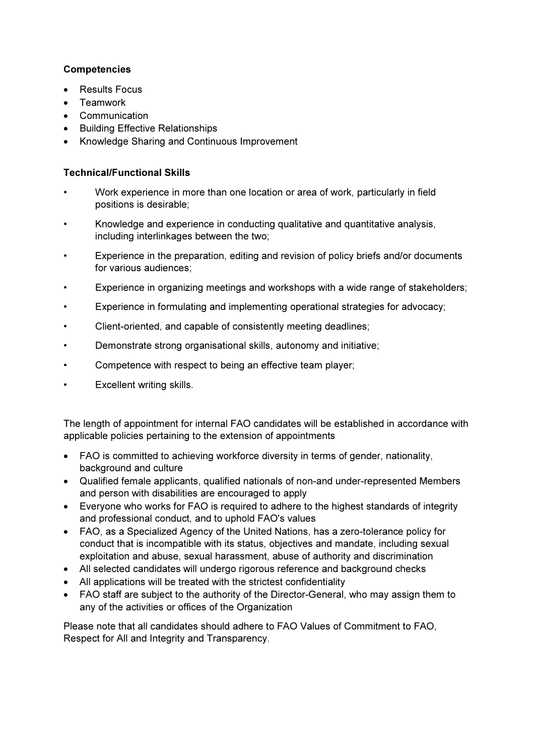### **Competencies**

- Results Focus
- **Teamwork**
- Communication
- Building Effective Relationships
- Knowledge Sharing and Continuous Improvement

#### Technical/Functional Skills

- Work experience in more than one location or area of work, particularly in field positions is desirable;
- Knowledge and experience in conducting qualitative and quantitative analysis, including interlinkages between the two;
- Experience in the preparation, editing and revision of policy briefs and/or documents for various audiences;
- Experience in organizing meetings and workshops with a wide range of stakeholders;
- Experience in formulating and implementing operational strategies for advocacy;
- Client-oriented, and capable of consistently meeting deadlines;
- Demonstrate strong organisational skills, autonomy and initiative;
- Competence with respect to being an effective team player;
- Excellent writing skills.

The length of appointment for internal FAO candidates will be established in accordance with applicable policies pertaining to the extension of appointments

- FAO is committed to achieving workforce diversity in terms of gender, nationality, background and culture
- Qualified female applicants, qualified nationals of non-and under-represented Members and person with disabilities are encouraged to apply
- Everyone who works for FAO is required to adhere to the highest standards of integrity and professional conduct, and to uphold FAO's values
- FAO, as a Specialized Agency of the United Nations, has a zero-tolerance policy for conduct that is incompatible with its status, objectives and mandate, including sexual exploitation and abuse, sexual harassment, abuse of authority and discrimination
- All selected candidates will undergo rigorous reference and background checks
- All applications will be treated with the strictest confidentiality
- FAO staff are subject to the authority of the Director-General, who may assign them to any of the activities or offices of the Organization

Please note that all candidates should adhere to FAO Values of Commitment to FAO, Respect for All and Integrity and Transparency.